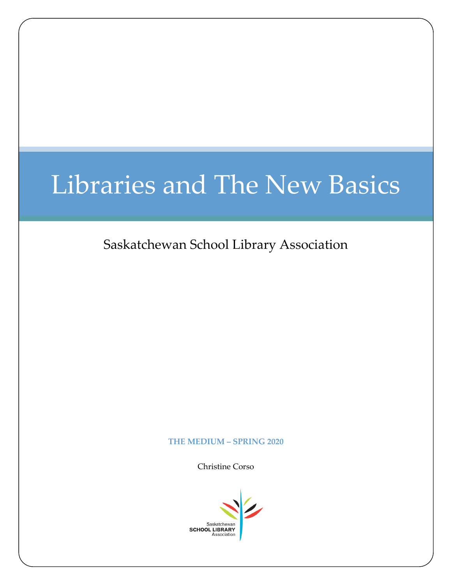# Libraries and The New Basics

Saskatchewan School Library Association

#### **THE MEDIUM – SPRING 2020**

Christine Corso

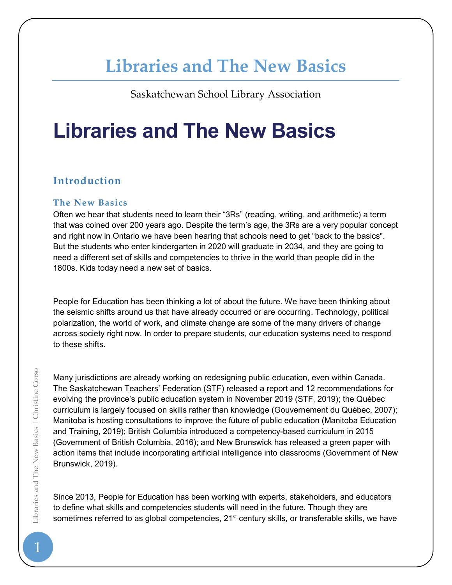# **Libraries and The New Basics**

Saskatchewan School Library Association

# **Libraries and The New Basics**

# **Introduction**

# **The New Basics**

Often we hear that students need to learn their "3Rs" (reading, writing, and arithmetic) a term that was coined over 200 years ago. Despite the term's age, the 3Rs are a very popular concept and right now in Ontario we have been hearing that schools need to get "back to the basics". But the students who enter kindergarten in 2020 will graduate in 2034, and they are going to need a different set of skills and competencies to thrive in the world than people did in the 1800s. Kids today need a new set of basics.

People for Education has been thinking a lot of about the future. We have been thinking about the seismic shifts around us that have already occurred or are occurring. Technology, political polarization, the world of work, and climate change are some of the many drivers of change across society right now. In order to prepare students, our education systems need to respond to these shifts.

Many jurisdictions are already working on redesigning public education, even within Canada. The Saskatchewan Teachers' Federation (STF) released a report and 12 recommendations for evolving the province's public education system in November 2019 (STF, 2019); the Québec curriculum is largely focused on skills rather than knowledge (Gouvernement du Québec, 2007); Manitoba is hosting consultations to improve the future of public education (Manitoba Education and Training, 2019); British Columbia introduced a competency-based curriculum in 2015 (Government of British Columbia, 2016); and New Brunswick has released a green paper with action items that include incorporating artificial intelligence into classrooms (Government of New Brunswick, 2019).

Since 2013, People for Education has been working with experts, stakeholders, and educators to define what skills and competencies students will need in the future. Though they are sometimes referred to as global competencies, 21<sup>st</sup> century skills, or transferable skills, we have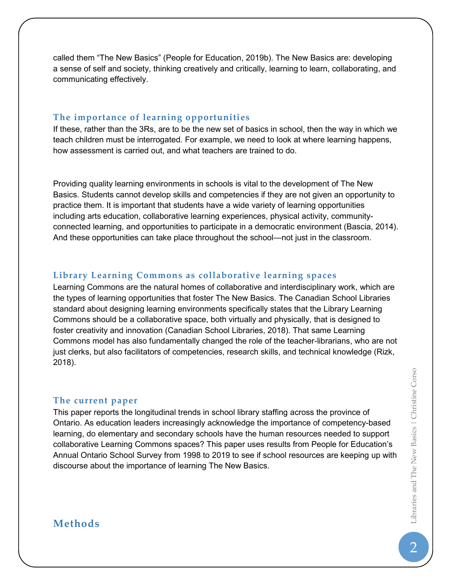called them "The New Basics" (People for Education, 2019b). The New Basics are: developing a sense of self and society, thinking creatively and critically, learning to learn, collaborating, and communicating effectively.

#### **The importance of learning opportunities**

If these, rather than the 3Rs, are to be the new set of basics in school, then the way in which we teach children must be interrogated. For example, we need to look at where learning happens, how assessment is carried out, and what teachers are trained to do.

Providing quality learning environments in schools is vital to the development of The New Basics. Students cannot develop skills and competencies if they are not given an opportunity to practice them. It is important that students have a wide variety of learning opportunities including arts education, collaborative learning experiences, physical activity, communityconnected learning, and opportunities to participate in a democratic environment (Bascia, 2014). And these opportunities can take place throughout the school—not just in the classroom.

#### **Library Learning Commons as collaborative learning spaces**

Learning Commons are the natural homes of collaborative and interdisciplinary work, which are the types of learning opportunities that foster The New Basics. The Canadian School Libraries standard about designing learning environments specifically states that the Library Learning Commons should be a collaborative space, both virtually and physically, that is designed to foster creativity and innovation (Canadian School Libraries, 2018). That same Learning Commons model has also fundamentally changed the role of the teacher-librarians, who are not just clerks, but also facilitators of competencies, research skills, and technical knowledge (Rizk, 2018).

#### **The current paper**

This paper reports the longitudinal trends in school library staffing across the province of Ontario. As education leaders increasingly acknowledge the importance of competency-based learning, do elementary and secondary schools have the human resources needed to support collaborative Learning Commons spaces? This paper uses results from People for Education's Annual Ontario School Survey from 1998 to 2019 to see if school resources are keeping up with discourse about the importance of learning The New Basics.

# **Methods**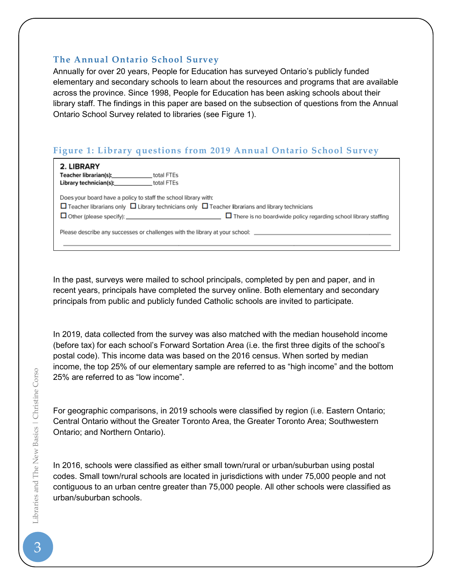### **The Annual Ontario School Survey**

Annually for over 20 years, People for Education has surveyed Ontario's publicly funded elementary and secondary schools to learn about the resources and programs that are available across the province. Since 1998, People for Education has been asking schools about their library staff. The findings in this paper are based on the subsection of questions from the Annual Ontario School Survey related to libraries (see Figure 1).

# **Figure 1: Library questions from 2019 Annual Ontario School Survey**

| 2. LIBRARY<br>Teacher librarian(s): Teacher librarian<br>Library technician(s):                                                                                                                                                                               | total FTEs<br>total FTEs |
|---------------------------------------------------------------------------------------------------------------------------------------------------------------------------------------------------------------------------------------------------------------|--------------------------|
| Does your board have a policy to staff the school library with:<br>$\Box$ Teacher librarians only $\Box$ Library technicians only $\Box$ Teacher librarians and library technicians<br>$\Box$ There is no board-wide policy regarding school library staffing |                          |
| Please describe any successes or challenges with the library at your school: _________________________________                                                                                                                                                |                          |

In the past, surveys were mailed to school principals, completed by pen and paper, and in recent years, principals have completed the survey online. Both elementary and secondary principals from public and publicly funded Catholic schools are invited to participate.

In 2019, data collected from the survey was also matched with the median household income (before tax) for each school's Forward Sortation Area (i.e. the first three digits of the school's postal code). This income data was based on the 2016 census. When sorted by median income, the top 25% of our elementary sample are referred to as "high income" and the bottom 25% are referred to as "low income".

For geographic comparisons, in 2019 schools were classified by region (i.e. Eastern Ontario; Central Ontario without the Greater Toronto Area, the Greater Toronto Area; Southwestern Ontario; and Northern Ontario).

In 2016, schools were classified as either small town/rural or urban/suburban using postal codes. Small town/rural schools are located in jurisdictions with under 75,000 people and not contiguous to an urban centre greater than 75,000 people. All other schools were classified as urban/suburban schools.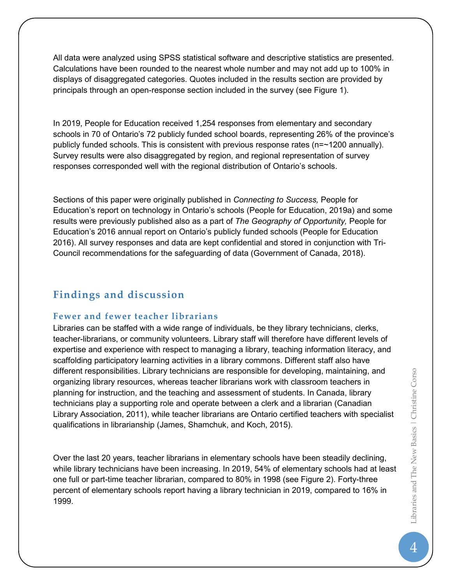All data were analyzed using SPSS statistical software and descriptive statistics are presented. Calculations have been rounded to the nearest whole number and may not add up to 100% in displays of disaggregated categories. Quotes included in the results section are provided by principals through an open-response section included in the survey (see Figure 1).

In 2019, People for Education received 1,254 responses from elementary and secondary schools in 70 of Ontario's 72 publicly funded school boards, representing 26% of the province's publicly funded schools. This is consistent with previous response rates (n=~1200 annually). Survey results were also disaggregated by region, and regional representation of survey responses corresponded well with the regional distribution of Ontario's schools.

Sections of this paper were originally published in *Connecting to Success,* People for Education's report on technology in Ontario's schools (People for Education, 2019a) and some results were previously published also as a part of *The Geography of Opportunity,* People for Education's 2016 annual report on Ontario's publicly funded schools (People for Education 2016). All survey responses and data are kept confidential and stored in conjunction with Tri-Council recommendations for the safeguarding of data (Government of Canada, 2018).

# **Findings and discussion**

# **Fewer and fewer teacher librarians**

Libraries can be staffed with a wide range of individuals, be they library technicians, clerks, teacher-librarians, or community volunteers. Library staff will therefore have different levels of expertise and experience with respect to managing a library, teaching information literacy, and scaffolding participatory learning activities in a library commons. Different staff also have different responsibilities. Library technicians are responsible for developing, maintaining, and organizing library resources, whereas teacher librarians work with classroom teachers in planning for instruction, and the teaching and assessment of students. In Canada, library technicians play a supporting role and operate between a clerk and a librarian (Canadian Library Association, 2011), while teacher librarians are Ontario certified teachers with specialist qualifications in librarianship (James, Shamchuk, and Koch, 2015).

Over the last 20 years, teacher librarians in elementary schools have been steadily declining, while library technicians have been increasing. In 2019, 54% of elementary schools had at least one full or part-time teacher librarian, compared to 80% in 1998 (see Figure 2). Forty-three percent of elementary schools report having a library technician in 2019, compared to 16% in 1999.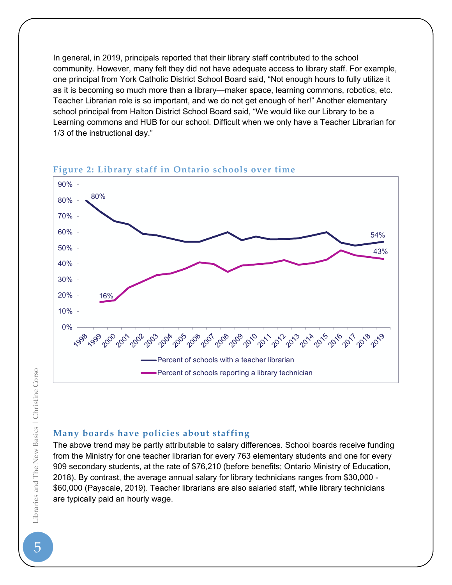In general, in 2019, principals reported that their library staff contributed to the school community. However, many felt they did not have adequate access to library staff. For example, one principal from York Catholic District School Board said, "Not enough hours to fully utilize it as it is becoming so much more than a library—maker space, learning commons, robotics, etc. Teacher Librarian role is so important, and we do not get enough of her!" Another elementary school principal from Halton District School Board said, "We would like our Library to be a Learning commons and HUB for our school. Difficult when we only have a Teacher Librarian for 1/3 of the instructional day."

# **Figure 2: Library staff in Ontario schools over time**



#### **Many boards have policies about staffing**

The above trend may be partly attributable to salary differences. School boards receive funding from the Ministry for one teacher librarian for every 763 elementary students and one for every 909 secondary students, at the rate of \$76,210 (before benefits; Ontario Ministry of Education, 2018). By contrast, the average annual salary for library technicians ranges from \$30,000 - \$60,000 (Payscale, 2019). Teacher librarians are also salaried staff, while library technicians are typically paid an hourly wage.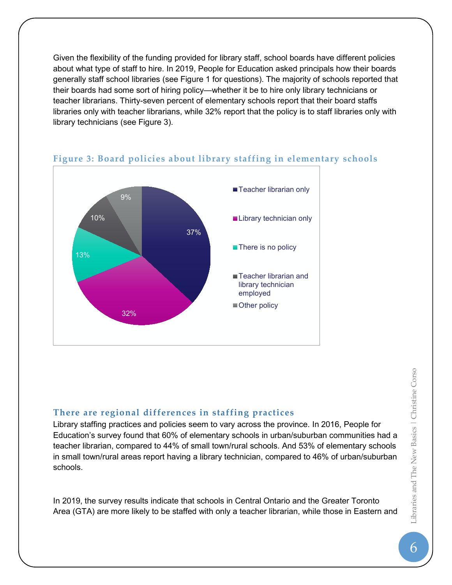Given the flexibility of the funding provided for library staff, school boards have different policies about what type of staff to hire. In 2019, People for Education asked principals how their boards generally staff school libraries (see Figure 1 for questions). The majority of schools reported that their boards had some sort of hiring policy—whether it be to hire only library technicians or teacher librarians. Thirty-seven percent of elementary schools report that their board staffs libraries only with teacher librarians, while 32% report that the policy is to staff libraries only with library technicians (see Figure 3).



### **Figure 3: Board policies about library staffing in elementary schools**

# **There are regional differences in staffing practices**

Library staffing practices and policies seem to vary across the province. In 2016, People for Education's survey found that 60% of elementary schools in urban/suburban communities had a teacher librarian, compared to 44% of small town/rural schools. And 53% of elementary schools in small town/rural areas report having a library technician, compared to 46% of urban/suburban schools.

In 2019, the survey results indicate that schools in Central Ontario and the Greater Toronto Area (GTA) are more likely to be staffed with only a teacher librarian, while those in Eastern and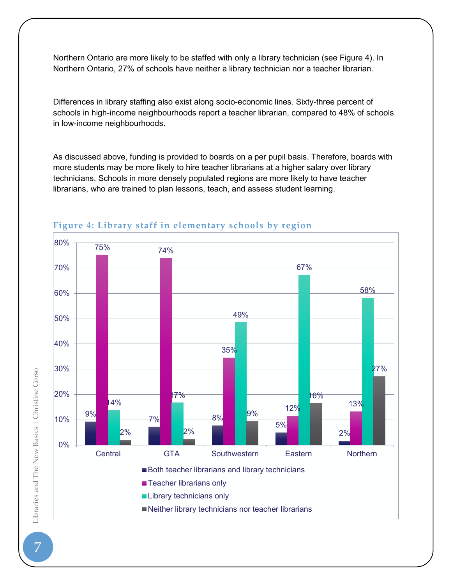Northern Ontario are more likely to be staffed with only a library technician (see Figure 4). In Northern Ontario, 27% of schools have neither a library technician nor a teacher librarian.

Differences in library staffing also exist along socio-economic lines. Sixty-three percent of schools in high-income neighbourhoods report a teacher librarian, compared to 48% of schools in low-income neighbourhoods.

As discussed above, funding is provided to boards on a per pupil basis. Therefore, boards with more students may be more likely to hire teacher librarians at a higher salary over library technicians. Schools in more densely populated regions are more likely to have teacher librarians, who are trained to plan lessons, teach, and assess student learning.



# **Figure 4: Library staff in elementary schools by region**

o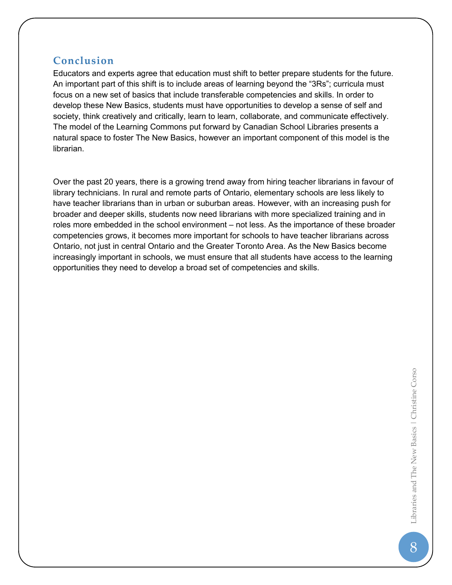# **Conclusion**

Educators and experts agree that education must shift to better prepare students for the future. An important part of this shift is to include areas of learning beyond the "3Rs"; curricula must focus on a new set of basics that include transferable competencies and skills. In order to develop these New Basics, students must have opportunities to develop a sense of self and society, think creatively and critically, learn to learn, collaborate, and communicate effectively. The model of the Learning Commons put forward by Canadian School Libraries presents a natural space to foster The New Basics, however an important component of this model is the librarian.

Over the past 20 years, there is a growing trend away from hiring teacher librarians in favour of library technicians. In rural and remote parts of Ontario, elementary schools are less likely to have teacher librarians than in urban or suburban areas. However, with an increasing push for broader and deeper skills, students now need librarians with more specialized training and in roles more embedded in the school environment – not less. As the importance of these broader competencies grows, it becomes more important for schools to have teacher librarians across Ontario, not just in central Ontario and the Greater Toronto Area. As the New Basics become increasingly important in schools, we must ensure that all students have access to the learning opportunities they need to develop a broad set of competencies and skills.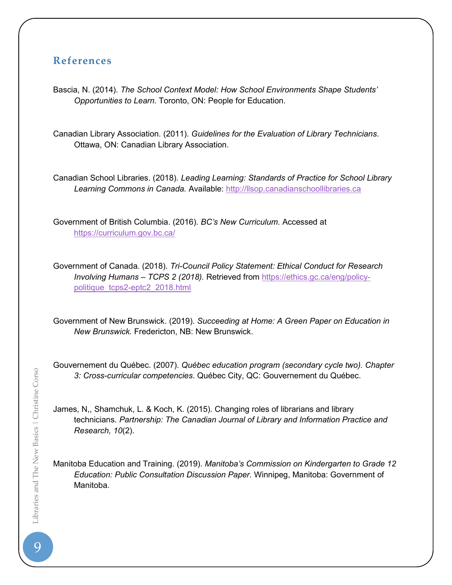# **References**

Bascia, N. (2014). *The School Context Model: How School Environments Shape Students' Opportunities to Learn.* Toronto, ON: People for Education.

Canadian Library Association. (2011). *Guidelines for the Evaluation of Library Technicians*. Ottawa, ON: Canadian Library Association.

Canadian School Libraries. (2018). *Leading Learning: Standards of Practice for School Library Learning Commons in Canada.* Available: [http://llsop.canadianschoollibraries.ca](http://llsop.canadianschoollibraries.ca/)

Government of British Columbia. (2016). *BC's New Curriculum*. Accessed at <https://curriculum.gov.bc.ca/>

Government of Canada. (2018). *Tri-Council Policy Statement: Ethical Conduct for Research Involving Humans – TCPS 2 (2018).* Retrieved from [https://ethics.gc.ca/eng/policy](https://ethics.gc.ca/eng/policy-politique_tcps2-eptc2_2018.html)[politique\\_tcps2-eptc2\\_2018.html](https://ethics.gc.ca/eng/policy-politique_tcps2-eptc2_2018.html)

Government of New Brunswick. (2019). *Succeeding at Home: A Green Paper on Education in New Brunswick.* Fredericton, NB: New Brunswick.

Gouvernement du Québec. (2007). *Québec education program (secondary cycle two). Chapter 3: Cross-curricular competencies*. Québec City, QC: Gouvernement du Québec.

James, N,, Shamchuk, L. & Koch, K. (2015). Changing roles of librarians and library technicians. *Partnership: The Canadian Journal of Library and Information Practice and Research, 10*(2).

Manitoba Education and Training. (2019). *Manitoba's Commission on Kindergarten to Grade 12 Education: Public Consultation Discussion Paper.* Winnipeg, Manitoba: Government of Manitoba.